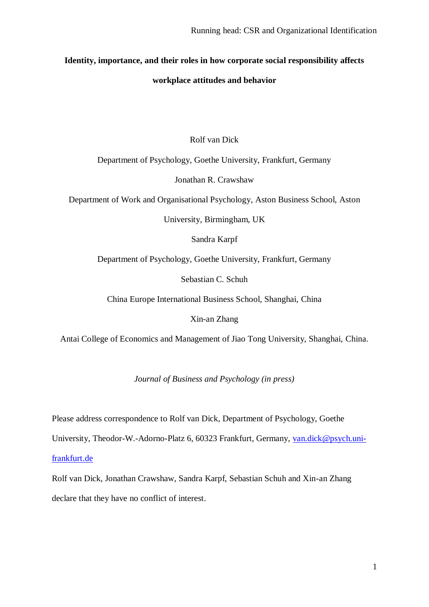# **Identity, importance, and their roles in how corporate social responsibility affects**

## **workplace attitudes and behavior**

# Rolf van Dick

Department of Psychology, Goethe University, Frankfurt, Germany

Jonathan R. Crawshaw

Department of Work and Organisational Psychology, Aston Business School, Aston

University, Birmingham, UK

Sandra Karpf

Department of Psychology, Goethe University, Frankfurt, Germany

Sebastian C. Schuh

China Europe International Business School, Shanghai, China

Xin-an Zhang

Antai College of Economics and Management of Jiao Tong University, Shanghai, China.

*Journal of Business and Psychology (in press)*

Please address correspondence to Rolf van Dick, Department of Psychology, Goethe

University, Theodor-W.-Adorno-Platz 6, 60323 Frankfurt, Germany, [van.dick@psych.uni-](mailto:van.dick@psych.uni-frankfurt.de)

[frankfurt.de](mailto:van.dick@psych.uni-frankfurt.de)

Rolf van Dick, Jonathan Crawshaw, Sandra Karpf, Sebastian Schuh and Xin-an Zhang declare that they have no conflict of interest.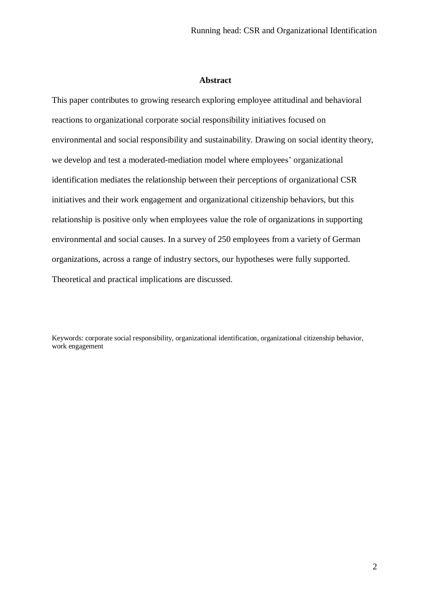#### **Abstract**

This paper contributes to growing research exploring employee attitudinal and behavioral reactions to organizational corporate social responsibility initiatives focused on environmental and social responsibility and sustainability. Drawing on social identity theory, we develop and test a moderated-mediation model where employees' organizational identification mediates the relationship between their perceptions of organizational CSR initiatives and their work engagement and organizational citizenship behaviors, but this relationship is positive only when employees value the role of organizations in supporting environmental and social causes. In a survey of 250 employees from a variety of German organizations, across a range of industry sectors, our hypotheses were fully supported. Theoretical and practical implications are discussed.

Keywords: corporate social responsibility, organizational identification, organizational citizenship behavior, work engagement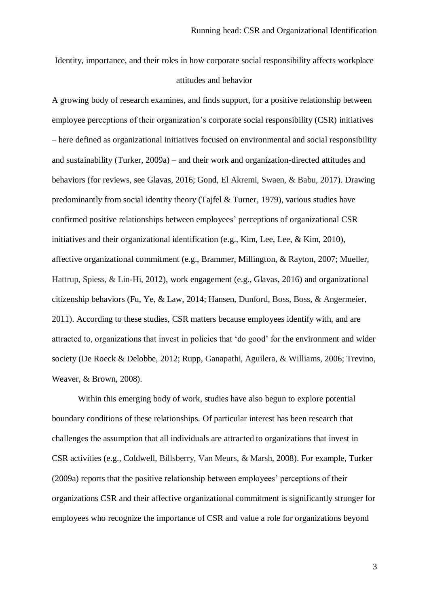Identity, importance, and their roles in how corporate social responsibility affects workplace attitudes and behavior

A growing body of research examines, and finds support, for a positive relationship between employee perceptions of their organization's corporate social responsibility (CSR) initiatives – here defined as organizational initiatives focused on environmental and social responsibility and sustainability (Turker, 2009a) – and their work and organization-directed attitudes and behaviors (for reviews, see Glavas, 2016; Gond, El Akremi, Swaen, & Babu, 2017). Drawing predominantly from social identity theory (Tajfel & Turner, 1979), various studies have confirmed positive relationships between employees' perceptions of organizational CSR initiatives and their organizational identification (e.g., Kim, Lee, Lee, & Kim, 2010), affective organizational commitment (e.g., Brammer, Millington, & Rayton, 2007; Mueller, Hattrup, Spiess, & Lin-Hi, 2012), work engagement (e.g., Glavas, 2016) and organizational citizenship behaviors (Fu, Ye, & Law, 2014; Hansen, Dunford, Boss, Boss, & Angermeier, 2011). According to these studies, CSR matters because employees identify with, and are attracted to, organizations that invest in policies that 'do good' for the environment and wider society (De Roeck & Delobbe, 2012; Rupp, Ganapathi, Aguilera, & Williams, 2006; Trevino, Weaver, & Brown, 2008).

Within this emerging body of work, studies have also begun to explore potential boundary conditions of these relationships. Of particular interest has been research that challenges the assumption that all individuals are attracted to organizations that invest in CSR activities (e.g., Coldwell, Billsberry, Van Meurs, & Marsh, 2008). For example, Turker (2009a) reports that the positive relationship between employees' perceptions of their organizations CSR and their affective organizational commitment is significantly stronger for employees who recognize the importance of CSR and value a role for organizations beyond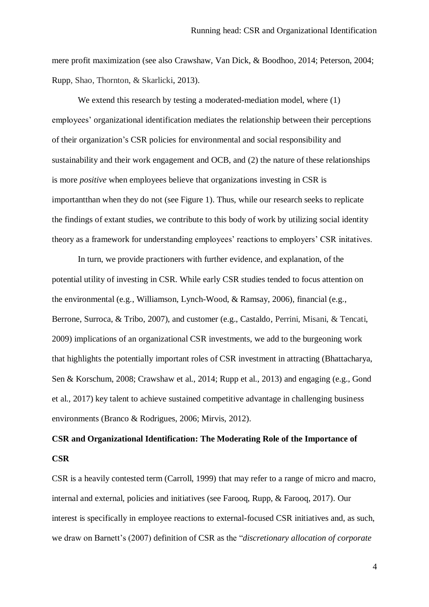mere profit maximization (see also Crawshaw, Van Dick, & Boodhoo, 2014; Peterson, 2004; Rupp, Shao, Thornton, & Skarlicki, 2013).

We extend this research by testing a moderated-mediation model, where (1) employees' organizational identification mediates the relationship between their perceptions of their organization's CSR policies for environmental and social responsibility and sustainability and their work engagement and OCB, and (2) the nature of these relationships is more *positive* when employees believe that organizations investing in CSR is importantthan when they do not (see Figure 1). Thus, while our research seeks to replicate the findings of extant studies, we contribute to this body of work by utilizing social identity theory as a framework for understanding employees' reactions to employers' CSR initatives.

In turn, we provide practioners with further evidence, and explanation, of the potential utility of investing in CSR. While early CSR studies tended to focus attention on the environmental (e.g., Williamson, Lynch-Wood, & Ramsay, 2006), financial (e.g., Berrone, Surroca, & Tribo, 2007), and customer (e.g., Castaldo, Perrini, Misani, & Tencati, 2009) implications of an organizational CSR investments, we add to the burgeoning work that highlights the potentially important roles of CSR investment in attracting (Bhattacharya, Sen & Korschum, 2008; Crawshaw et al., 2014; Rupp et al., 2013) and engaging (e.g., Gond et al., 2017) key talent to achieve sustained competitive advantage in challenging business environments (Branco & Rodrigues, 2006; Mirvis, 2012).

# **CSR and Organizational Identification: The Moderating Role of the Importance of CSR**

CSR is a heavily contested term (Carroll, 1999) that may refer to a range of micro and macro, internal and external, policies and initiatives (see Farooq, Rupp, & Farooq, 2017). Our interest is specifically in employee reactions to external-focused CSR initiatives and, as such, we draw on Barnett's (2007) definition of CSR as the "*discretionary allocation of corporate*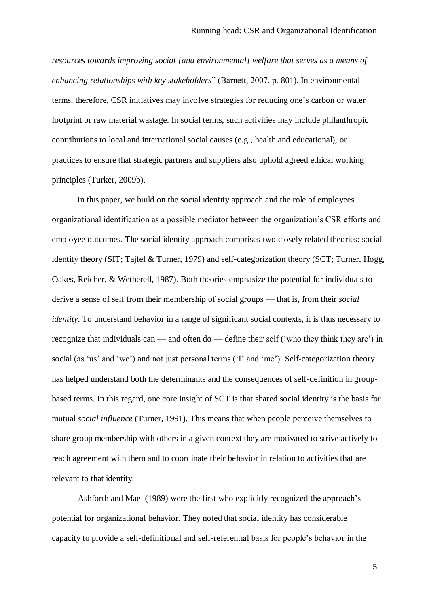*resources towards improving social [and environmental] welfare that serves as a means of enhancing relationships with key stakeholders*" (Barnett, 2007, p. 801). In environmental terms, therefore, CSR initiatives may involve strategies for reducing one's carbon or water footprint or raw material wastage. In social terms, such activities may include philanthropic contributions to local and international social causes (e.g., health and educational), or practices to ensure that strategic partners and suppliers also uphold agreed ethical working principles (Turker, 2009b).

In this paper, we build on the social identity approach and the role of employees' organizational identification as a possible mediator between the organization's CSR efforts and employee outcomes. The social identity approach comprises two closely related theories: social identity theory (SIT; Tajfel & Turner, 1979) and self-categorization theory (SCT; Turner, Hogg, Oakes, Reicher, & Wetherell, 1987). Both theories emphasize the potential for individuals to derive a sense of self from their membership of social groups — that is, from their *social identity*. To understand behavior in a range of significant social contexts, it is thus necessary to recognize that individuals can — and often do — define their self ('who they think they are') in social (as 'us' and 'we') and not just personal terms ('I' and 'me'). Self-categorization theory has helped understand both the determinants and the consequences of self-definition in groupbased terms. In this regard, one core insight of SCT is that shared social identity is the basis for mutual *social influence* (Turner, 1991). This means that when people perceive themselves to share group membership with others in a given context they are motivated to strive actively to reach agreement with them and to coordinate their behavior in relation to activities that are relevant to that identity.

Ashforth and Mael (1989) were the first who explicitly recognized the approach's potential for organizational behavior. They noted that social identity has considerable capacity to provide a self-definitional and self-referential basis for people's behavior in the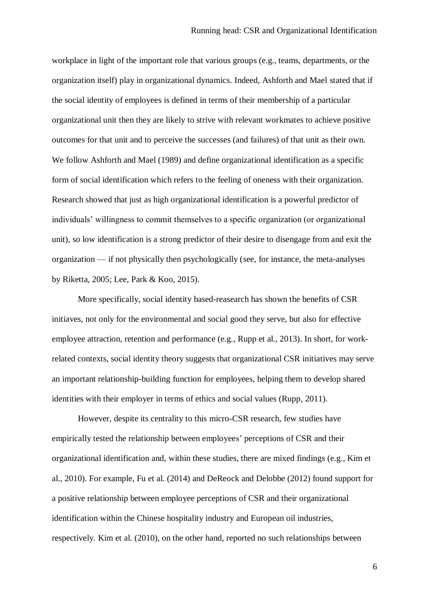workplace in light of the important role that various groups (e.g., teams, departments, or the organization itself) play in organizational dynamics. Indeed, Ashforth and Mael stated that if the social identity of employees is defined in terms of their membership of a particular organizational unit then they are likely to strive with relevant workmates to achieve positive outcomes for that unit and to perceive the successes (and failures) of that unit as their own. We follow Ashforth and Mael (1989) and define organizational identification as a specific form of social identification which refers to the feeling of oneness with their organization. Research showed that just as high organizational identification is a powerful predictor of individuals' willingness to commit themselves to a specific organization (or organizational unit), so low identification is a strong predictor of their desire to disengage from and exit the organization — if not physically then psychologically (see, for instance, the meta-analyses by Riketta, 2005; Lee, Park & Koo, 2015).

More specifically, social identity based-reasearch has shown the benefits of CSR initiaves, not only for the environmental and social good they serve, but also for effective employee attraction, retention and performance (e.g., Rupp et al., 2013). In short, for workrelated contexts, social identity theory suggests that organizational CSR initiatives may serve an important relationship-building function for employees, helping them to develop shared identities with their employer in terms of ethics and social values (Rupp, 2011).

However, despite its centrality to this micro-CSR research, few studies have empirically tested the relationship between employees' perceptions of CSR and their organizational identification and, within these studies, there are mixed findings (e.g., Kim et al., 2010). For example, Fu et al. (2014) and DeReock and Delobbe (2012) found support for a positive relationship between employee perceptions of CSR and their organizational identification within the Chinese hospitality industry and European oil industries, respectively. Kim et al. (2010), on the other hand, reported no such relationships between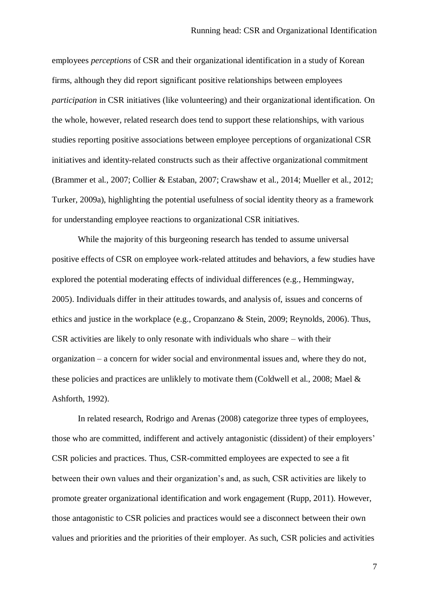employees *perceptions* of CSR and their organizational identification in a study of Korean firms, although they did report significant positive relationships between employees *participation* in CSR initiatives (like volunteering) and their organizational identification. On the whole, however, related research does tend to support these relationships, with various studies reporting positive associations between employee perceptions of organizational CSR initiatives and identity-related constructs such as their affective organizational commitment (Brammer et al., 2007; Collier & Estaban, 2007; Crawshaw et al., 2014; Mueller et al., 2012; Turker, 2009a), highlighting the potential usefulness of social identity theory as a framework for understanding employee reactions to organizational CSR initiatives.

While the majority of this burgeoning research has tended to assume universal positive effects of CSR on employee work-related attitudes and behaviors, a few studies have explored the potential moderating effects of individual differences (e.g., Hemmingway, 2005). Individuals differ in their attitudes towards, and analysis of, issues and concerns of ethics and justice in the workplace (e.g., Cropanzano & Stein, 2009; Reynolds, 2006). Thus, CSR activities are likely to only resonate with individuals who share – with their organization – a concern for wider social and environmental issues and, where they do not, these policies and practices are unliklely to motivate them (Coldwell et al., 2008; Mael & Ashforth, 1992).

In related research, Rodrigo and Arenas (2008) categorize three types of employees, those who are committed, indifferent and actively antagonistic (dissident) of their employers' CSR policies and practices. Thus, CSR-committed employees are expected to see a fit between their own values and their organization's and, as such, CSR activities are likely to promote greater organizational identification and work engagement (Rupp, 2011). However, those antagonistic to CSR policies and practices would see a disconnect between their own values and priorities and the priorities of their employer. As such, CSR policies and activities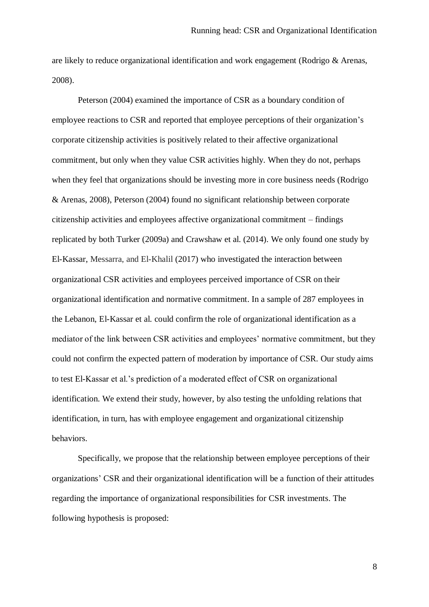are likely to reduce organizational identification and work engagement (Rodrigo & Arenas, 2008).

Peterson (2004) examined the importance of CSR as a boundary condition of employee reactions to CSR and reported that employee perceptions of their organization's corporate citizenship activities is positively related to their affective organizational commitment, but only when they value CSR activities highly. When they do not, perhaps when they feel that organizations should be investing more in core business needs (Rodrigo & Arenas, 2008), Peterson (2004) found no significant relationship between corporate citizenship activities and employees affective organizational commitment – findings replicated by both Turker (2009a) and Crawshaw et al. (2014). We only found one study by El-Kassar, Messarra, and El-Khalil (2017) who investigated the interaction between organizational CSR activities and employees perceived importance of CSR on their organizational identification and normative commitment. In a sample of 287 employees in the Lebanon, El-Kassar et al. could confirm the role of organizational identification as a mediator of the link between CSR activities and employees' normative commitment, but they could not confirm the expected pattern of moderation by importance of CSR. Our study aims to test El-Kassar et al.'s prediction of a moderated effect of CSR on organizational identification. We extend their study, however, by also testing the unfolding relations that identification, in turn, has with employee engagement and organizational citizenship behaviors.

Specifically, we propose that the relationship between employee perceptions of their organizations' CSR and their organizational identification will be a function of their attitudes regarding the importance of organizational responsibilities for CSR investments. The following hypothesis is proposed: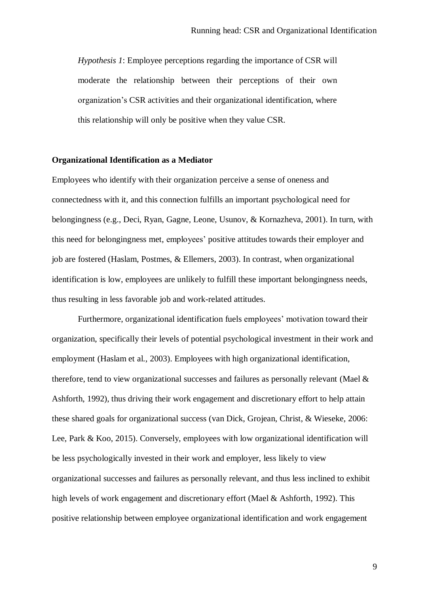*Hypothesis 1*: Employee perceptions regarding the importance of CSR will moderate the relationship between their perceptions of their own organization's CSR activities and their organizational identification, where this relationship will only be positive when they value CSR.

#### **Organizational Identification as a Mediator**

Employees who identify with their organization perceive a sense of oneness and connectedness with it, and this connection fulfills an important psychological need for belongingness (e.g., Deci, Ryan, Gagne, Leone, Usunov, & Kornazheva, 2001). In turn, with this need for belongingness met, employees' positive attitudes towards their employer and job are fostered (Haslam, Postmes, & Ellemers, 2003). In contrast, when organizational identification is low, employees are unlikely to fulfill these important belongingness needs, thus resulting in less favorable job and work-related attitudes.

Furthermore, organizational identification fuels employees' motivation toward their organization, specifically their levels of potential psychological investment in their work and employment (Haslam et al., 2003). Employees with high organizational identification, therefore, tend to view organizational successes and failures as personally relevant (Mael & Ashforth, 1992), thus driving their work engagement and discretionary effort to help attain these shared goals for organizational success (van Dick, Grojean, Christ, & Wieseke, 2006: Lee, Park & Koo, 2015). Conversely, employees with low organizational identification will be less psychologically invested in their work and employer, less likely to view organizational successes and failures as personally relevant, and thus less inclined to exhibit high levels of work engagement and discretionary effort (Mael & Ashforth, 1992). This positive relationship between employee organizational identification and work engagement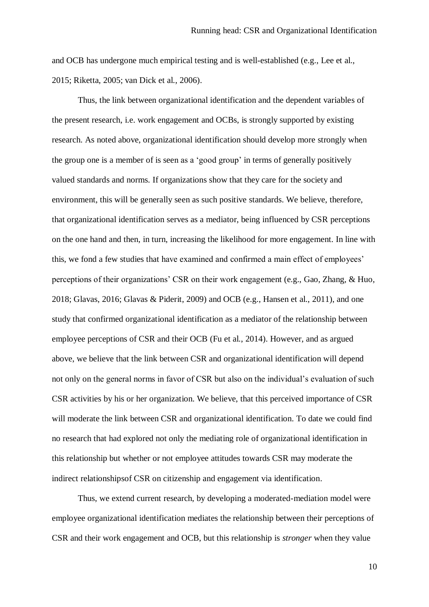and OCB has undergone much empirical testing and is well-established (e.g., Lee et al., 2015; Riketta, 2005; van Dick et al., 2006).

Thus, the link between organizational identification and the dependent variables of the present research, i.e. work engagement and OCBs, is strongly supported by existing research. As noted above, organizational identification should develop more strongly when the group one is a member of is seen as a 'good group' in terms of generally positively valued standards and norms. If organizations show that they care for the society and environment, this will be generally seen as such positive standards. We believe, therefore, that organizational identification serves as a mediator, being influenced by CSR perceptions on the one hand and then, in turn, increasing the likelihood for more engagement. In line with this, we fond a few studies that have examined and confirmed a main effect of employees' perceptions of their organizations' CSR on their work engagement (e.g., Gao, Zhang, & Huo, 2018; Glavas, 2016; Glavas & Piderit, 2009) and OCB (e.g., Hansen et al., 2011), and one study that confirmed organizational identification as a mediator of the relationship between employee perceptions of CSR and their OCB (Fu et al., 2014). However, and as argued above, we believe that the link between CSR and organizational identification will depend not only on the general norms in favor of CSR but also on the individual's evaluation of such CSR activities by his or her organization. We believe, that this perceived importance of CSR will moderate the link between CSR and organizational identification. To date we could find no research that had explored not only the mediating role of organizational identification in this relationship but whether or not employee attitudes towards CSR may moderate the indirect relationshipsof CSR on citizenship and engagement via identification.

Thus, we extend current research, by developing a moderated-mediation model were employee organizational identification mediates the relationship between their perceptions of CSR and their work engagement and OCB, but this relationship is *stronger* when they value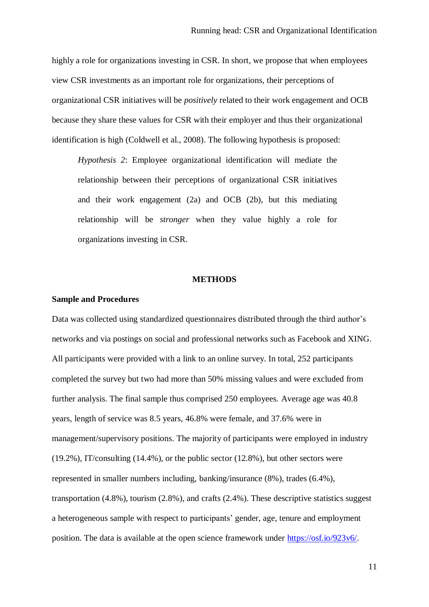highly a role for organizations investing in CSR. In short, we propose that when employees view CSR investments as an important role for organizations, their perceptions of organizational CSR initiatives will be *positively* related to their work engagement and OCB because they share these values for CSR with their employer and thus their organizational identification is high (Coldwell et al., 2008). The following hypothesis is proposed:

*Hypothesis 2*: Employee organizational identification will mediate the relationship between their perceptions of organizational CSR initiatives and their work engagement (2a) and OCB (2b), but this mediating relationship will be *stronger* when they value highly a role for organizations investing in CSR.

#### **METHODS**

#### **Sample and Procedures**

Data was collected using standardized questionnaires distributed through the third author's networks and via postings on social and professional networks such as Facebook and XING. All participants were provided with a link to an online survey. In total, 252 participants completed the survey but two had more than 50% missing values and were excluded from further analysis. The final sample thus comprised 250 employees. Average age was 40.8 years, length of service was 8.5 years, 46.8% were female, and 37.6% were in management/supervisory positions. The majority of participants were employed in industry (19.2%), IT/consulting (14.4%), or the public sector (12.8%), but other sectors were represented in smaller numbers including, banking/insurance (8%), trades (6.4%), transportation (4.8%), tourism (2.8%), and crafts (2.4%). These descriptive statistics suggest a heterogeneous sample with respect to participants' gender, age, tenure and employment position. The data is available at the open science framework under [https://osf.io/923v6/.](https://osf.io/923v6/)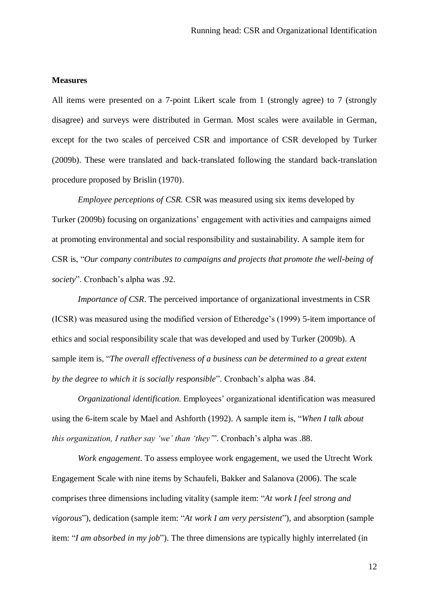#### **Measures**

All items were presented on a 7-point Likert scale from 1 (strongly agree) to 7 (strongly disagree) and surveys were distributed in German. Most scales were available in German, except for the two scales of perceived CSR and importance of CSR developed by Turker (2009b). These were translated and back-translated following the standard back-translation procedure proposed by Brislin (1970).

*Employee perceptions of CSR. CSR was measured using six items developed by* Turker (2009b) focusing on organizations' engagement with activities and campaigns aimed at promoting environmental and social responsibility and sustainability. A sample item for CSR is, "*Our company contributes to campaigns and projects that promote the well-being of society*". Cronbach's alpha was .92.

*Importance of CSR*. The perceived importance of organizational investments in CSR (ICSR) was measured using the modified version of Etheredge's (1999) 5-item importance of ethics and social responsibility scale that was developed and used by Turker (2009b). A sample item is, "*The overall effectiveness of a business can be determined to a great extent by the degree to which it is socially responsible*". Cronbach's alpha was .84.

*Organizational identification*. Employees' organizational identification was measured using the 6-item scale by Mael and Ashforth (1992). A sample item is, "*When I talk about this organization, I rather say 'we' than 'they'*". Cronbach's alpha was .88.

*Work engagement*. To assess employee work engagement, we used the Utrecht Work Engagement Scale with nine items by Schaufeli, Bakker and Salanova (2006). The scale comprises three dimensions including vitality (sample item: "*At work I feel strong and vigorous*"), dedication (sample item: "*At work I am very persistent*"), and absorption (sample item: "*I am absorbed in my job*"). The three dimensions are typically highly interrelated (in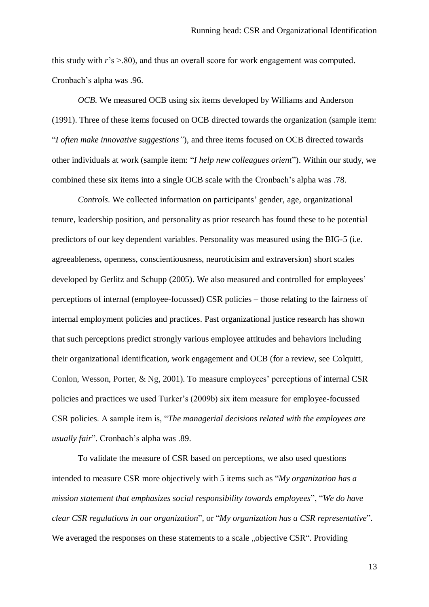this study with  $r$ 's  $> 80$ ), and thus an overall score for work engagement was computed. Cronbach's alpha was .96.

*OCB.* We measured OCB using six items developed by Williams and Anderson (1991). Three of these items focused on OCB directed towards the organization (sample item: "*I often make innovative suggestions"*), and three items focused on OCB directed towards other individuals at work (sample item: "*I help new colleagues orient*"). Within our study, we combined these six items into a single OCB scale with the Cronbach's alpha was .78.

*Controls*. We collected information on participants' gender, age, organizational tenure, leadership position, and personality as prior research has found these to be potential predictors of our key dependent variables. Personality was measured using the BIG-5 (i.e. agreeableness, openness, conscientiousness, neuroticisim and extraversion) short scales developed by Gerlitz and Schupp (2005). We also measured and controlled for employees' perceptions of internal (employee-focussed) CSR policies – those relating to the fairness of internal employment policies and practices. Past organizational justice research has shown that such perceptions predict strongly various employee attitudes and behaviors including their organizational identification, work engagement and OCB (for a review, see Colquitt, Conlon, Wesson, Porter, & Ng, 2001). To measure employees' perceptions of internal CSR policies and practices we used Turker's (2009b) six item measure for employee-focussed CSR policies. A sample item is, "*The managerial decisions related with the employees are usually fair*". Cronbach's alpha was .89.

To validate the measure of CSR based on perceptions, we also used questions intended to measure CSR more objectively with 5 items such as "*My organization has a mission statement that emphasizes social responsibility towards employees*", "*We do have clear CSR regulations in our organization*"*,* or "*My organization has a CSR representative*". We averaged the responses on these statements to a scale "objective CSR". Providing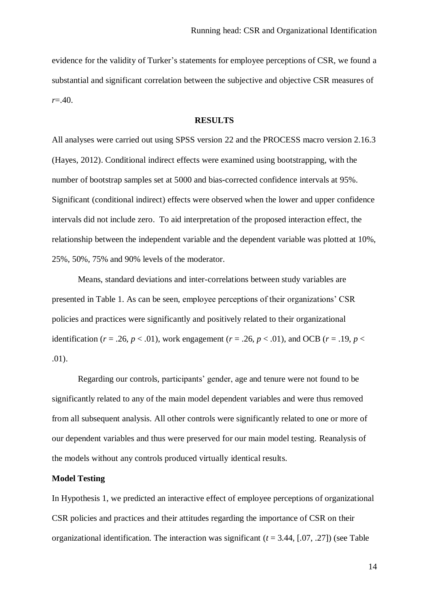evidence for the validity of Turker's statements for employee perceptions of CSR, we found a substantial and significant correlation between the subjective and objective CSR measures of *r*=.40.

#### **RESULTS**

All analyses were carried out using SPSS version 22 and the PROCESS macro version 2.16.3 (Hayes, 2012). Conditional indirect effects were examined using bootstrapping, with the number of bootstrap samples set at 5000 and bias-corrected confidence intervals at 95%. Significant (conditional indirect) effects were observed when the lower and upper confidence intervals did not include zero. To aid interpretation of the proposed interaction effect, the relationship between the independent variable and the dependent variable was plotted at 10%, 25%, 50%, 75% and 90% levels of the moderator.

Means, standard deviations and inter-correlations between study variables are presented in Table 1. As can be seen, employee perceptions of their organizations' CSR policies and practices were significantly and positively related to their organizational identification ( $r = .26$ ,  $p < .01$ ), work engagement ( $r = .26$ ,  $p < .01$ ), and OCB ( $r = .19$ ,  $p <$ .01).

Regarding our controls, participants' gender, age and tenure were not found to be significantly related to any of the main model dependent variables and were thus removed from all subsequent analysis. All other controls were significantly related to one or more of our dependent variables and thus were preserved for our main model testing. Reanalysis of the models without any controls produced virtually identical results.

# **Model Testing**

In Hypothesis 1, we predicted an interactive effect of employee perceptions of organizational CSR policies and practices and their attitudes regarding the importance of CSR on their organizational identification. The interaction was significant (*t* = 3.44, [.07, .27]) (see Table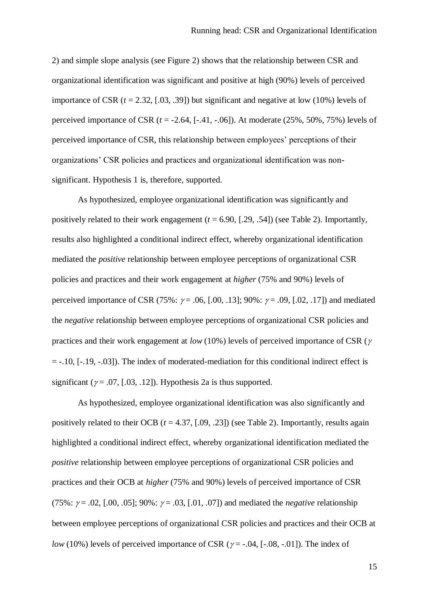2) and simple slope analysis (see Figure 2) shows that the relationship between CSR and organizational identification was significant and positive at high (90%) levels of perceived importance of CSR  $(t = 2.32, [.03, .39])$  but significant and negative at low  $(10\%)$  levels of perceived importance of CSR  $(t = -2.64, [-0.41, -0.06])$ . At moderate  $(25\%, 50\%, 75\%)$  levels of perceived importance of CSR, this relationship between employees' perceptions of their organizations' CSR policies and practices and organizational identification was nonsignificant. Hypothesis 1 is, therefore, supported.

As hypothesized, employee organizational identification was significantly and positively related to their work engagement  $(t = 6.90, [.29, .54])$  (see Table 2). Importantly, results also highlighted a conditional indirect effect, whereby organizational identification mediated the *positive* relationship between employee perceptions of organizational CSR policies and practices and their work engagement at *higher* (75% and 90%) levels of perceived importance of CSR (75%:  $\gamma$  = .06, [.00, .13]; 90%:  $\gamma$  = .09, [.02, .17]) and mediated the *negative* relationship between employee perceptions of organizational CSR policies and practices and their work engagement at *low* (10%) levels of perceived importance of CSR ( $\gamma$ )  $= -.10$ ,  $[-.19, -.03]$ ). The index of moderated-mediation for this conditional indirect effect is significant ( $\gamma$  = .07, [.03, .12]). Hypothesis 2a is thus supported.

As hypothesized, employee organizational identification was also significantly and positively related to their OCB  $(t = 4.37, [.09, .23])$  (see Table 2). Importantly, results again highlighted a conditional indirect effect, whereby organizational identification mediated the *positive* relationship between employee perceptions of organizational CSR policies and practices and their OCB at *higher* (75% and 90%) levels of perceived importance of CSR (75%:  $\gamma$  = .02, [.00, .05]; 90%:  $\gamma$  = .03, [.01, .07]) and mediated the *negative* relationship between employee perceptions of organizational CSR policies and practices and their OCB at *low* (10%) levels of perceived importance of CSR ( $\gamma$  = -.04, [-.08, -.01]). The index of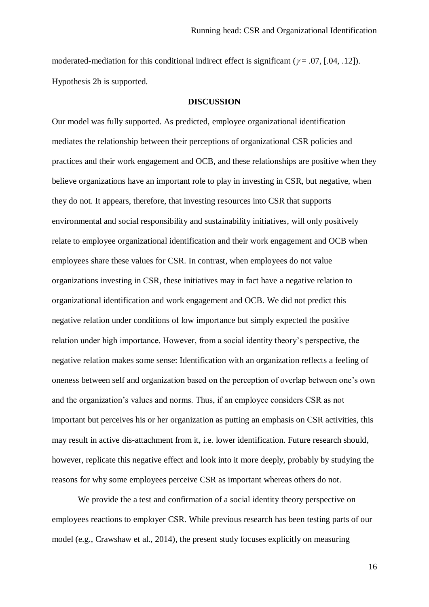moderated-mediation for this conditional indirect effect is significant ( $\gamma = .07$ , [.04, .12]). Hypothesis 2b is supported.

#### **DISCUSSION**

Our model was fully supported. As predicted, employee organizational identification mediates the relationship between their perceptions of organizational CSR policies and practices and their work engagement and OCB, and these relationships are positive when they believe organizations have an important role to play in investing in CSR, but negative, when they do not. It appears, therefore, that investing resources into CSR that supports environmental and social responsibility and sustainability initiatives, will only positively relate to employee organizational identification and their work engagement and OCB when employees share these values for CSR. In contrast, when employees do not value organizations investing in CSR, these initiatives may in fact have a negative relation to organizational identification and work engagement and OCB. We did not predict this negative relation under conditions of low importance but simply expected the positive relation under high importance. However, from a social identity theory's perspective, the negative relation makes some sense: Identification with an organization reflects a feeling of oneness between self and organization based on the perception of overlap between one's own and the organization's values and norms. Thus, if an employee considers CSR as not important but perceives his or her organization as putting an emphasis on CSR activities, this may result in active dis-attachment from it, i.e. lower identification. Future research should, however, replicate this negative effect and look into it more deeply, probably by studying the reasons for why some employees perceive CSR as important whereas others do not.

We provide the a test and confirmation of a social identity theory perspective on employees reactions to employer CSR. While previous research has been testing parts of our model (e.g., Crawshaw et al., 2014), the present study focuses explicitly on measuring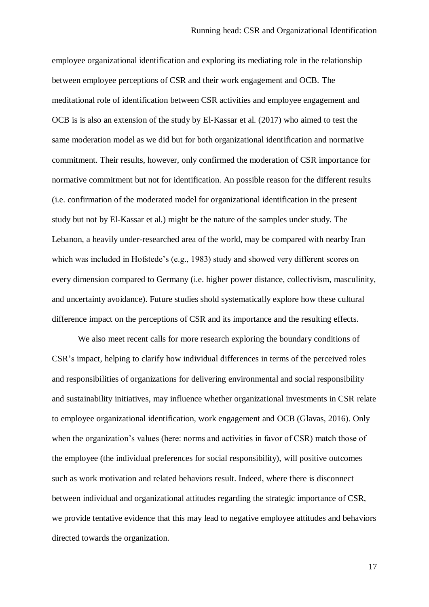employee organizational identification and exploring its mediating role in the relationship between employee perceptions of CSR and their work engagement and OCB. The meditational role of identification between CSR activities and employee engagement and OCB is is also an extension of the study by El-Kassar et al. (2017) who aimed to test the same moderation model as we did but for both organizational identification and normative commitment. Their results, however, only confirmed the moderation of CSR importance for normative commitment but not for identification. An possible reason for the different results (i.e. confirmation of the moderated model for organizational identification in the present study but not by El-Kassar et al.) might be the nature of the samples under study. The Lebanon, a heavily under-researched area of the world, may be compared with nearby Iran which was included in Hofstede's (e.g., 1983) study and showed very different scores on every dimension compared to Germany (i.e. higher power distance, collectivism, masculinity, and uncertainty avoidance). Future studies shold systematically explore how these cultural difference impact on the perceptions of CSR and its importance and the resulting effects.

We also meet recent calls for more research exploring the boundary conditions of CSR's impact, helping to clarify how individual differences in terms of the perceived roles and responsibilities of organizations for delivering environmental and social responsibility and sustainability initiatives, may influence whether organizational investments in CSR relate to employee organizational identification, work engagement and OCB (Glavas, 2016). Only when the organization's values (here: norms and activities in favor of CSR) match those of the employee (the individual preferences for social responsibility), will positive outcomes such as work motivation and related behaviors result. Indeed, where there is disconnect between individual and organizational attitudes regarding the strategic importance of CSR, we provide tentative evidence that this may lead to negative employee attitudes and behaviors directed towards the organization.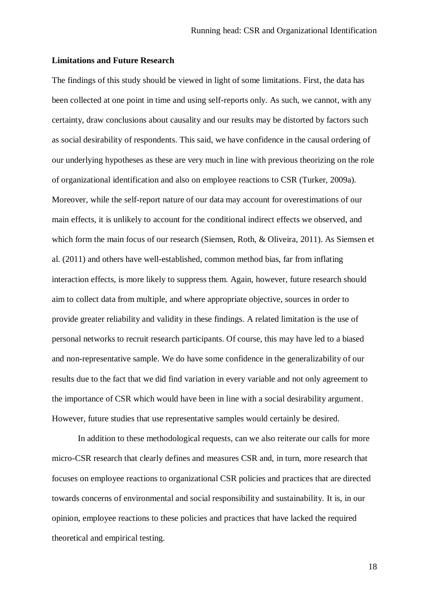#### **Limitations and Future Research**

The findings of this study should be viewed in light of some limitations. First, the data has been collected at one point in time and using self-reports only. As such, we cannot, with any certainty, draw conclusions about causality and our results may be distorted by factors such as social desirability of respondents. This said, we have confidence in the causal ordering of our underlying hypotheses as these are very much in line with previous theorizing on the role of organizational identification and also on employee reactions to CSR (Turker, 2009a). Moreover, while the self-report nature of our data may account for overestimations of our main effects, it is unlikely to account for the conditional indirect effects we observed, and which form the main focus of our research (Siemsen, Roth, & Oliveira, 2011). As Siemsen et al. (2011) and others have well-established, common method bias, far from inflating interaction effects, is more likely to suppress them. Again, however, future research should aim to collect data from multiple, and where appropriate objective, sources in order to provide greater reliability and validity in these findings. A related limitation is the use of personal networks to recruit research participants. Of course, this may have led to a biased and non-representative sample. We do have some confidence in the generalizability of our results due to the fact that we did find variation in every variable and not only agreement to the importance of CSR which would have been in line with a social desirability argument. However, future studies that use representative samples would certainly be desired.

In addition to these methodological requests, can we also reiterate our calls for more micro-CSR research that clearly defines and measures CSR and, in turn, more research that focuses on employee reactions to organizational CSR policies and practices that are directed towards concerns of environmental and social responsibility and sustainability. It is, in our opinion, employee reactions to these policies and practices that have lacked the required theoretical and empirical testing.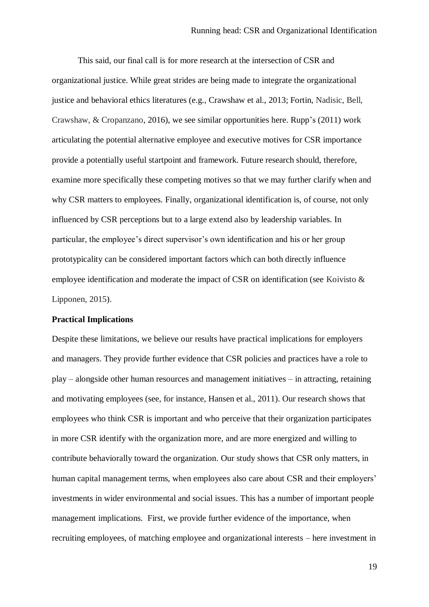This said, our final call is for more research at the intersection of CSR and organizational justice. While great strides are being made to integrate the organizational justice and behavioral ethics literatures (e.g., Crawshaw et al., 2013; Fortin, Nadisic, Bell, Crawshaw, & Cropanzano, 2016), we see similar opportunities here. Rupp's (2011) work articulating the potential alternative employee and executive motives for CSR importance provide a potentially useful startpoint and framework. Future research should, therefore, examine more specifically these competing motives so that we may further clarify when and why CSR matters to employees. Finally, organizational identification is, of course, not only influenced by CSR perceptions but to a large extend also by leadership variables. In particular, the employee's direct supervisor's own identification and his or her group prototypicality can be considered important factors which can both directly influence employee identification and moderate the impact of CSR on identification (see Koivisto & Lipponen, 2015).

# **Practical Implications**

Despite these limitations, we believe our results have practical implications for employers and managers. They provide further evidence that CSR policies and practices have a role to play – alongside other human resources and management initiatives – in attracting, retaining and motivating employees (see, for instance, Hansen et al., 2011). Our research shows that employees who think CSR is important and who perceive that their organization participates in more CSR identify with the organization more, and are more energized and willing to contribute behaviorally toward the organization. Our study shows that CSR only matters, in human capital management terms, when employees also care about CSR and their employers' investments in wider environmental and social issues. This has a number of important people management implications. First, we provide further evidence of the importance, when recruiting employees, of matching employee and organizational interests – here investment in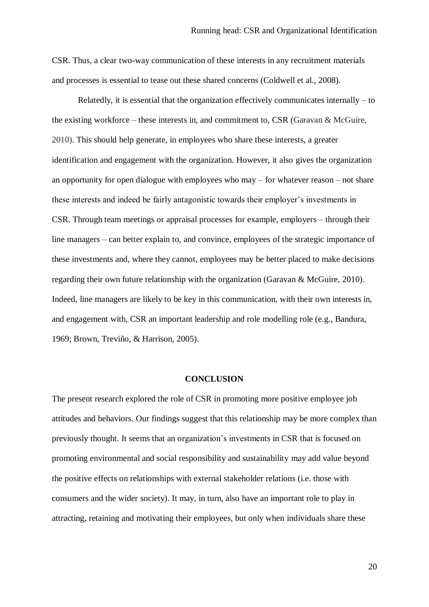CSR. Thus, a clear two-way communication of these interests in any recruitment materials and processes is essential to tease out these shared concerns (Coldwell et al., 2008).

Relatedly, it is essential that the organization effectively communicates internally – to the existing workforce – these interests in, and commitment to, CSR (Garavan & McGuire, 2010). This should help generate, in employees who share these interests, a greater identification and engagement with the organization. However, it also gives the organization an opportunity for open dialogue with employees who may – for whatever reason – not share these interests and indeed be fairly antagonistic towards their employer's investments in CSR. Through team meetings or appraisal processes for example, employers – through their line managers – can better explain to, and convince, employees of the strategic importance of these investments and, where they cannot, employees may be better placed to make decisions regarding their own future relationship with the organization (Garavan & McGuire, 2010). Indeed, line managers are likely to be key in this communication, with their own interests in, and engagement with, CSR an important leadership and role modelling role (e.g., Bandura, 1969; Brown, Treviño, & Harrison, 2005).

#### **CONCLUSION**

The present research explored the role of CSR in promoting more positive employee job attitudes and behaviors. Our findings suggest that this relationship may be more complex than previously thought. It seems that an organization's investments in CSR that is focused on promoting environmental and social responsibility and sustainability may add value beyond the positive effects on relationships with external stakeholder relations (i.e. those with consumers and the wider society). It may, in turn, also have an important role to play in attracting, retaining and motivating their employees, but only when individuals share these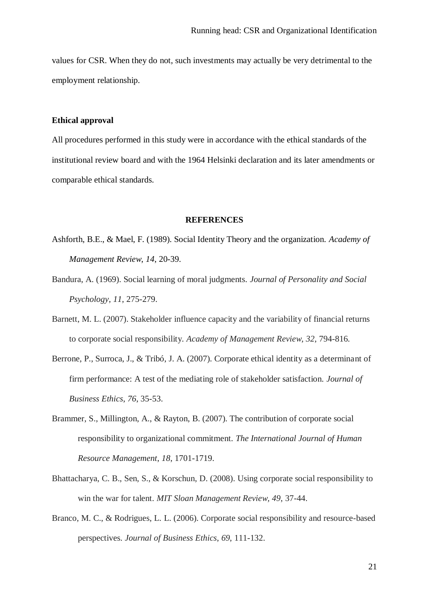values for CSR. When they do not, such investments may actually be very detrimental to the employment relationship.

#### **Ethical approval**

All procedures performed in this study were in accordance with the ethical standards of the institutional review board and with the 1964 Helsinki declaration and its later amendments or comparable ethical standards.

#### **REFERENCES**

- Ashforth, B.E., & Mael, F. (1989). Social Identity Theory and the organization. *Academy of Management Review*, *14*, 20-39.
- Bandura, A. (1969). Social learning of moral judgments. *Journal of Personality and Social Psychology*, *11*, 275-279.
- Barnett, M. L. (2007). Stakeholder influence capacity and the variability of financial returns to corporate social responsibility. *Academy of Management Review*, *32*, 794-816.
- Berrone, P., Surroca, J., & Tribó, J. A. (2007). Corporate ethical identity as a determinant of firm performance: A test of the mediating role of stakeholder satisfaction. *Journal of Business Ethics*, *76*, 35-53.
- Brammer, S., Millington, A., & Rayton, B. (2007). The contribution of corporate social responsibility to organizational commitment. *The International Journal of Human Resource Management*, *18*, 1701-1719.
- Bhattacharya, C. B., Sen, S., & Korschun, D. (2008). Using corporate social responsibility to win the war for talent. *MIT Sloan Management Review, 49*, 37-44.
- Branco, M. C., & Rodrigues, L. L. (2006). Corporate social responsibility and resource-based perspectives. *Journal of Business Ethics*, *69*, 111-132.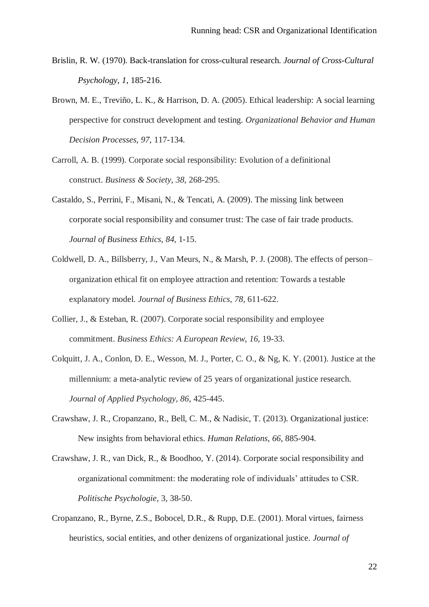- Brislin, R. W. (1970). Back-translation for cross-cultural research. *Journal of Cross-Cultural Psychology*, *1*, 185-216.
- Brown, M. E., Treviño, L. K., & Harrison, D. A. (2005). Ethical leadership: A social learning perspective for construct development and testing. *Organizational Behavior and Human Decision Processes*, *97*, 117-134.
- Carroll, A. B. (1999). Corporate social responsibility: Evolution of a definitional construct. *Business & Society*, *38*, 268-295.
- Castaldo, S., Perrini, F., Misani, N., & Tencati, A. (2009). The missing link between corporate social responsibility and consumer trust: The case of fair trade products. *Journal of Business Ethics*, *84*, 1-15.
- Coldwell, D. A., Billsberry, J., Van Meurs, N., & Marsh, P. J. (2008). The effects of person– organization ethical fit on employee attraction and retention: Towards a testable explanatory model. *Journal of Business Ethics*, *78*, 611-622.
- Collier, J., & Esteban, R. (2007). Corporate social responsibility and employee commitment. *Business Ethics: A European Review*, *16*, 19-33.
- Colquitt, J. A., Conlon, D. E., Wesson, M. J., Porter, C. O., & Ng, K. Y. (2001). Justice at the millennium: a meta-analytic review of 25 years of organizational justice research. *Journal of Applied Psychology, 86*, 425-445.
- Crawshaw, J. R., Cropanzano, R., Bell, C. M., & Nadisic, T. (2013). Organizational justice: New insights from behavioral ethics. *Human Relations*, *66*, 885-904.
- Crawshaw, J. R., van Dick, R., & Boodhoo, Y. (2014). Corporate social responsibility and organizational commitment: the moderating role of individuals' attitudes to CSR. *Politische Psychologie*, 3, 38-50.
- Cropanzano, R., Byrne, Z.S., Bobocel, D.R., & Rupp, D.E. (2001). Moral virtues, fairness heuristics, social entities, and other denizens of organizational justice. *Journal of*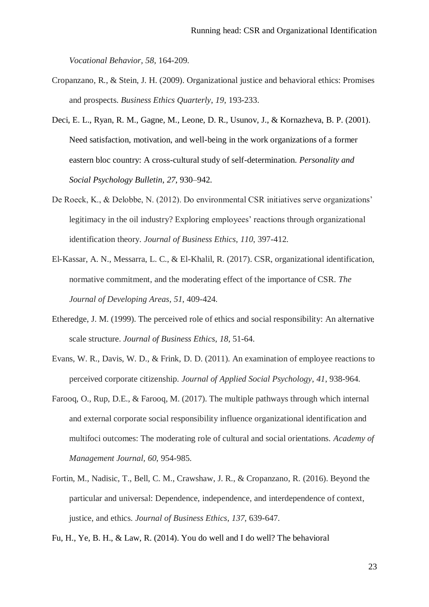*Vocational Behavior, 58*, 164-209.

- Cropanzano, R., & Stein, J. H. (2009). Organizational justice and behavioral ethics: Promises and prospects. *Business Ethics Quarterly*, *19*, 193-233.
- Deci, E. L., Ryan, R. M., Gagne, M., Leone, D. R., Usunov, J., & Kornazheva, B. P. (2001). Need satisfaction, motivation, and well-being in the work organizations of a former eastern bloc country: A cross-cultural study of self-determination. *Personality and Social Psychology Bulletin*, *27*, 930–942.
- De Roeck, K., & Delobbe, N. (2012). Do environmental CSR initiatives serve organizations' legitimacy in the oil industry? Exploring employees' reactions through organizational identification theory. *Journal of Business Ethics*, *110*, 397-412.
- El-Kassar, A. N., Messarra, L. C., & El-Khalil, R. (2017). CSR, organizational identification, normative commitment, and the moderating effect of the importance of CSR. *The Journal of Developing Areas*, *51*, 409-424.
- Etheredge, J. M. (1999). The perceived role of ethics and social responsibility: An alternative scale structure. *Journal of Business Ethics*, *18*, 51-64.
- Evans, W. R., Davis, W. D., & Frink, D. D. (2011). An examination of employee reactions to perceived corporate citizenship. *Journal of Applied Social Psychology*, *41*, 938-964.
- Farooq, O., Rup, D.E., & Farooq, M. (2017). The multiple pathways through which internal and external corporate social responsibility influence organizational identification and multifoci outcomes: The moderating role of cultural and social orientations. *Academy of Management Journal, 60*, 954-985.
- Fortin, M., Nadisic, T., Bell, C. M., Crawshaw, J. R., & Cropanzano, R. (2016). Beyond the particular and universal: Dependence, independence, and interdependence of context, justice, and ethics. *Journal of Business Ethics*, *137*, 639-647.

Fu, H., Ye, B. H., & Law, R. (2014). You do well and I do well? The behavioral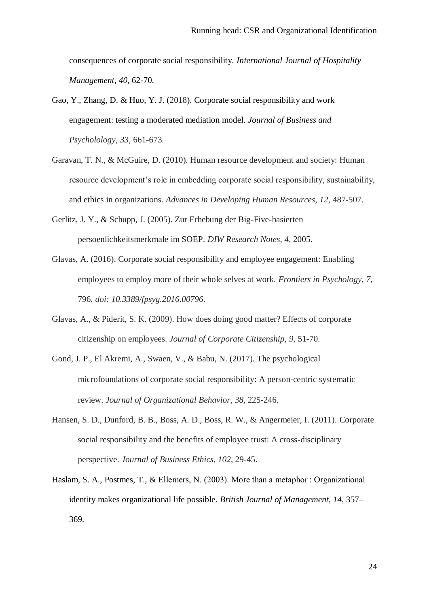consequences of corporate social responsibility. *International Journal of Hospitality Management*, *40*, 62-70.

- Gao, Y., Zhang, D. & Huo, Y. J. (2018). Corporate social responsibility and work engagement: testing a moderated mediation model. *Journal of Business and Psycholology*, *33*, 661-673.
- Garavan, T. N., & McGuire, D. (2010). Human resource development and society: Human resource development's role in embedding corporate social responsibility, sustainability, and ethics in organizations. *Advances in Developing Human Resources*, *12*, 487-507.
- Gerlitz, J. Y., & Schupp, J. (2005). Zur Erhebung der Big-Five-basierten persoenlichkeitsmerkmale im SOEP. *DIW Research Notes*, *4*, 2005.
- Glavas, A. (2016). Corporate social responsibility and employee engagement: Enabling employees to employ more of their whole selves at work. *Frontiers in Psychology*, *7,*  796*. doi: 10.3389/fpsyg.2016.00796*.
- Glavas, A., & Piderit, S. K. (2009). How does doing good matter? Effects of corporate citizenship on employees. *Journal of Corporate Citizenship*, *9*, 51-70.
- Gond, J. P., El Akremi, A., Swaen, V., & Babu, N. (2017). The psychological microfoundations of corporate social responsibility: A person‐centric systematic review. *Journal of Organizational Behavior*, *38*, 225-246.
- Hansen, S. D., Dunford, B. B., Boss, A. D., Boss, R. W., & Angermeier, I. (2011). Corporate social responsibility and the benefits of employee trust: A cross-disciplinary perspective. *Journal of Business Ethics*, *102*, 29-45.
- Haslam, S. A., Postmes, T., & Ellemers, N. (2003). More than a metaphor : Organizational identity makes organizational life possible. *British Journal of Management*, *14*, 357– 369.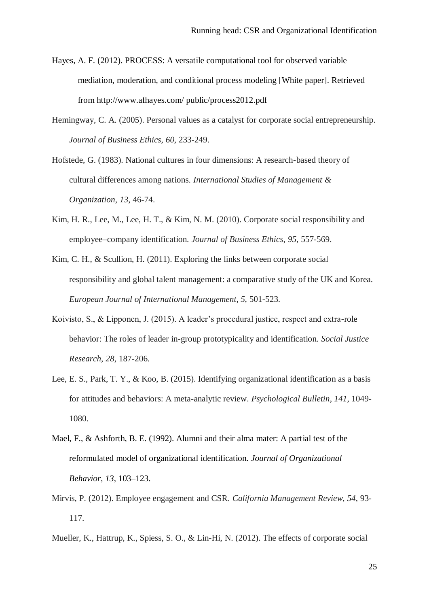- Hayes, A. F. (2012). PROCESS: A versatile computational tool for observed variable mediation, moderation, and conditional process modeling [White paper]. Retrieved from http://www.afhayes.com/ public/process2012.pdf
- Hemingway, C. A. (2005). Personal values as a catalyst for corporate social entrepreneurship. *Journal of Business Ethics*, *60*, 233-249.
- Hofstede, G. (1983). National cultures in four dimensions: A research-based theory of cultural differences among nations. *International Studies of Management & Organization*, *13*, 46-74.
- Kim, H. R., Lee, M., Lee, H. T., & Kim, N. M. (2010). Corporate social responsibility and employee–company identification. *Journal of Business Ethics*, *95*, 557-569.
- Kim, C. H., & Scullion, H. (2011). Exploring the links between corporate social responsibility and global talent management: a comparative study of the UK and Korea. *European Journal of International Management*, *5*, 501-523.
- Koivisto, S., & Lipponen, J. (2015). A leader's procedural justice, respect and extra-role behavior: The roles of leader in-group prototypicality and identification. *Social Justice Research*, *28*, 187-206.
- Lee, E. S., Park, T. Y., & Koo, B. (2015). Identifying organizational identification as a basis for attitudes and behaviors: A meta-analytic review. *Psychological Bulletin*, *141*, 1049- 1080.
- Mael, F., & Ashforth, B. E. (1992). Alumni and their alma mater: A partial test of the reformulated model of organizational identification. *Journal of Organizational Behavior*, *13*, 103–123.
- Mirvis, P. (2012). Employee engagement and CSR. *California Management Review*, *54*, 93- 117.
- Mueller, K., Hattrup, K., Spiess, S. O., & Lin-Hi, N. (2012). The effects of corporate social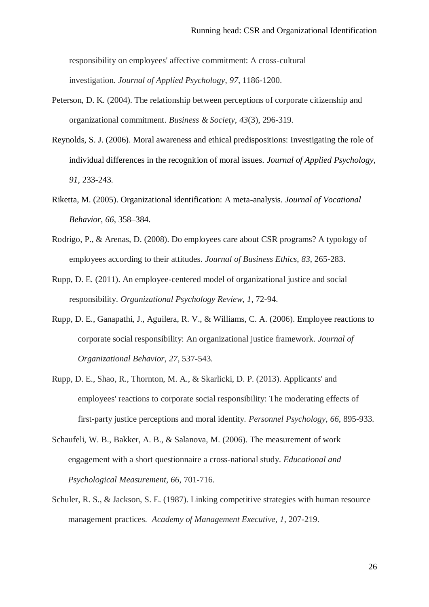responsibility on employees' affective commitment: A cross-cultural investigation. *Journal of Applied Psychology*, *97*, 1186-1200.

- Peterson, D. K. (2004). The relationship between perceptions of corporate citizenship and organizational commitment. *Business & Society*, *43*(3), 296-319.
- Reynolds, S. J. (2006). Moral awareness and ethical predispositions: Investigating the role of individual differences in the recognition of moral issues. *Journal of Applied Psychology*, *91*, 233-243.
- Riketta, M. (2005). Organizational identification: A meta-analysis. *Journal of Vocational Behavior*, *66*, 358–384.
- Rodrigo, P., & Arenas, D. (2008). Do employees care about CSR programs? A typology of employees according to their attitudes. *Journal of Business Ethics*, *83*, 265-283.
- Rupp, D. E. (2011). An employee-centered model of organizational justice and social responsibility. *Organizational Psychology Review*, *1*, 72-94.
- Rupp, D. E., Ganapathi, J., Aguilera, R. V., & Williams, C. A. (2006). Employee reactions to corporate social responsibility: An organizational justice framework. *Journal of Organizational Behavior*, *27*, 537-543.
- Rupp, D. E., Shao, R., Thornton, M. A., & Skarlicki, D. P. (2013). Applicants' and employees' reactions to corporate social responsibility: The moderating effects of first‐party justice perceptions and moral identity. *Personnel Psychology*, *66*, 895-933.
- Schaufeli, W. B., Bakker, A. B., & Salanova, M. (2006). The measurement of work engagement with a short questionnaire a cross-national study. *Educational and Psychological Measurement*, *66*, 701-716.
- Schuler, R. S., & Jackson, S. E. (1987). Linking competitive strategies with human resource management practices. *Academy of Management Executive, 1*, 207-219.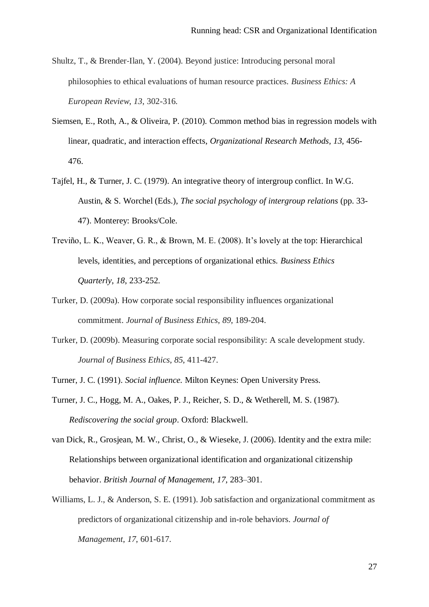- Shultz, T., & Brender‐Ilan, Y. (2004). Beyond justice: Introducing personal moral philosophies to ethical evaluations of human resource practices. *Business Ethics: A European Review*, *13*, 302-316.
- Siemsen, E., Roth, A., & Oliveira, P. (2010). Common method bias in regression models with linear, quadratic, and interaction effects, *Organizational Research Methods, 13*, 456- 476.
- Tajfel, H., & Turner, J. C. (1979). An integrative theory of intergroup conflict. In W.G. Austin, & S. Worchel (Eds.), *The social psychology of intergroup relations* (pp. 33- 47). Monterey: Brooks/Cole.
- Treviño, L. K., Weaver, G. R., & Brown, M. E. (2008). It's lovely at the top: Hierarchical levels, identities, and perceptions of organizational ethics. *Business Ethics Quarterly*, *18*, 233-252.
- Turker, D. (2009a). How corporate social responsibility influences organizational commitment. *Journal of Business Ethics*, *89*, 189-204.
- Turker, D. (2009b). Measuring corporate social responsibility: A scale development study. *Journal of Business Ethics*, *85*, 411-427.
- Turner, J. C. (1991). *Social influence.* Milton Keynes: Open University Press.
- Turner, J. C., Hogg, M. A., Oakes, P. J., Reicher, S. D., & Wetherell, M. S. (1987). *Rediscovering the social group*. Oxford: Blackwell.
- van Dick, R., Grosjean, M. W., Christ, O., & Wieseke, J. (2006). Identity and the extra mile: Relationships between organizational identification and organizational citizenship behavior. *British Journal of Management*, *17*, 283–301.
- Williams, L. J., & Anderson, S. E. (1991). Job satisfaction and organizational commitment as predictors of organizational citizenship and in-role behaviors. *Journal of Management*, *17*, 601-617.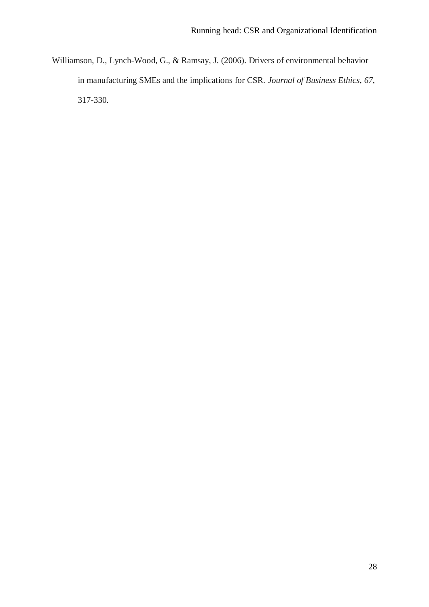Williamson, D., Lynch-Wood, G., & Ramsay, J. (2006). Drivers of environmental behavior in manufacturing SMEs and the implications for CSR. *Journal of Business Ethics*, *67*, 317-330*.*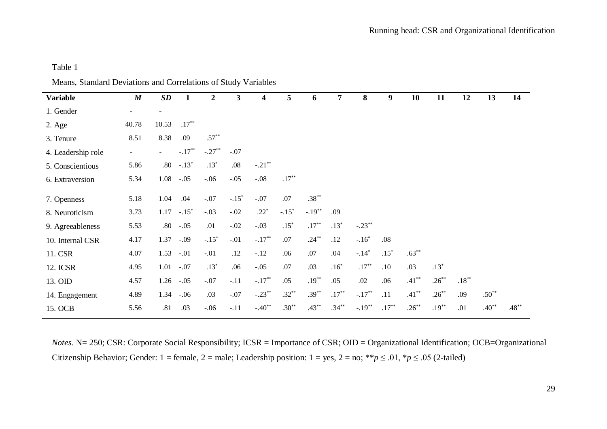# Table 1

| <b>Variable</b>    | $\boldsymbol{M}$ | SD                       | 1                   | $\overline{2}$ | 3       | 4         | 5            | 6         | 7        | 8         | 9        | 10       | 11       | 12       | 13      | 14       |
|--------------------|------------------|--------------------------|---------------------|----------------|---------|-----------|--------------|-----------|----------|-----------|----------|----------|----------|----------|---------|----------|
| 1. Gender          | ۰                |                          |                     |                |         |           |              |           |          |           |          |          |          |          |         |          |
| $2. \text{Age}$    | 40.78            | 10.53                    | $.17***$            |                |         |           |              |           |          |           |          |          |          |          |         |          |
| 3. Tenure          | 8.51             | 8.38                     | .09                 | $.57***$       |         |           |              |           |          |           |          |          |          |          |         |          |
| 4. Leadership role | $\blacksquare$   | $\overline{\phantom{0}}$ | $-.17***$           | $-.27***$      | $-.07$  |           |              |           |          |           |          |          |          |          |         |          |
| 5. Conscientious   | 5.86             | .80                      | $-.13*$             | $.13*$         | $.08\,$ | $-.21***$ |              |           |          |           |          |          |          |          |         |          |
| 6. Extraversion    | 5.34             | 1.08                     | $-.05$              | $-.06$         | $-.05$  | $-.08$    | $.17***$     |           |          |           |          |          |          |          |         |          |
| 7. Openness        | 5.18             | 1.04                     | .04                 | $-.07$         | $-.15*$ | $-.07$    | .07          | $.38***$  |          |           |          |          |          |          |         |          |
| 8. Neuroticism     | 3.73             | 1.17                     | $-.15$ <sup>*</sup> | $-.03$         | $-.02$  | $.22*$    | $-.15*$      | $-.19***$ | .09      |           |          |          |          |          |         |          |
| 9. Agreeableness   | 5.53             | .80                      | $-.05$              | .01            | $-.02$  | $-.03$    | $.15^{\ast}$ | $.17***$  | $.13*$   | $-.23***$ |          |          |          |          |         |          |
| 10. Internal CSR   | 4.17             | 1.37                     | $-.09$              | $-.15*$        | $-.01$  | $-.17***$ | .07          | $.24***$  | .12      | $-.16*$   | .08      |          |          |          |         |          |
| 11. CSR            | 4.07             | 1.53                     | $-.01$              | $-.01$         | .12     | $-.12$    | .06          | .07       | .04      | $-.14*$   | $.15*$   | $.63***$ |          |          |         |          |
| 12. ICSR           | 4.95             | $1.01 - 0.07$            |                     | $.13*$         | .06     | $-.05$    | .07          | .03       | $.16*$   | $.17***$  | .10      | .03      | $.13*$   |          |         |          |
| 13. OID            | 4.57             | 1.26                     | $-.05$              | $-.07$         | $-.11$  | $-.17***$ | .05          | $.19***$  | .05      | .02       | .06      | $.41***$ | $.26***$ | $.18***$ |         |          |
| 14. Engagement     | 4.89             | $1.34 - 0.06$            |                     | .03            | $-.07$  | $-.23**$  | $.32***$     | $.39***$  | $.17***$ | $-.17***$ | .11      | $.41***$ | $.26***$ | .09      | $.50**$ |          |
| 15. OCB            | 5.56             | .81                      | .03                 | $-.06$         | $-.11$  | $-.40**$  | $.30***$     | $.43***$  | $.34***$ | $-.19***$ | $.17***$ | $.26***$ | $.19***$ | .01      | $.40**$ | $.48***$ |

*Notes.* N= 250; CSR: Corporate Social Responsibility; ICSR = Importance of CSR; OID = Organizational Identification; OCB=Organizational Citizenship Behavior; Gender: 1 = female, 2 = male; Leadership position: 1 = yes, 2 = no; \*\* $p \le 0.01$ , \* $p \le 0.05$  (2-tailed)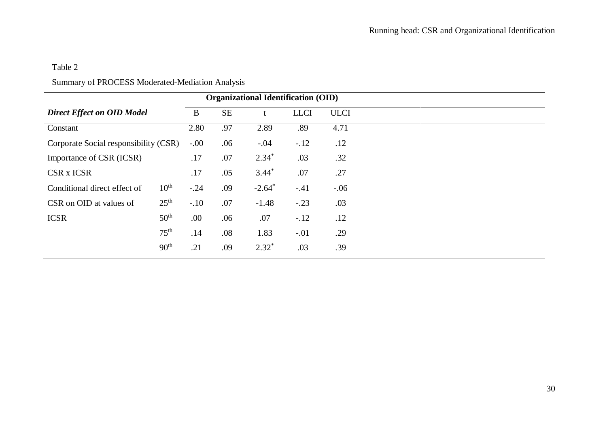# Table 2

# Summary of PROCESS Moderated-Mediation Analysis

| <b>Organizational Identification (OID)</b> |                  |           |     |             |             |        |  |  |  |  |
|--------------------------------------------|------------------|-----------|-----|-------------|-------------|--------|--|--|--|--|
| <b>Direct Effect on OID Model</b>          | B                | <b>SE</b> |     | <b>LLCI</b> | <b>ULCI</b> |        |  |  |  |  |
| Constant                                   |                  | 2.80      | .97 | 2.89        | .89         | 4.71   |  |  |  |  |
| Corporate Social responsibility (CSR)      |                  | $-.00$    | .06 | $-.04$      | $-.12$      | .12    |  |  |  |  |
| Importance of CSR (ICSR)                   |                  | .17       | .07 | $2.34*$     | .03         | .32    |  |  |  |  |
| <b>CSR x ICSR</b>                          |                  | .17       | .05 | $3.44*$     | .07         | .27    |  |  |  |  |
| Conditional direct effect of               | $10^{\text{th}}$ | $-.24$    | .09 | $-2.64*$    | $-.41$      | $-.06$ |  |  |  |  |
| CSR on OID at values of                    | 25 <sup>th</sup> | $-.10$    | .07 | $-1.48$     | $-.23$      | .03    |  |  |  |  |
| <b>ICSR</b>                                | 50 <sup>th</sup> | .00       | .06 | .07         | $-.12$      | .12    |  |  |  |  |
|                                            | $75^{\text{th}}$ | .14       | .08 | 1.83        | $-.01$      | .29    |  |  |  |  |
|                                            | 90 <sup>th</sup> | .21       | .09 | $2.32*$     | .03         | .39    |  |  |  |  |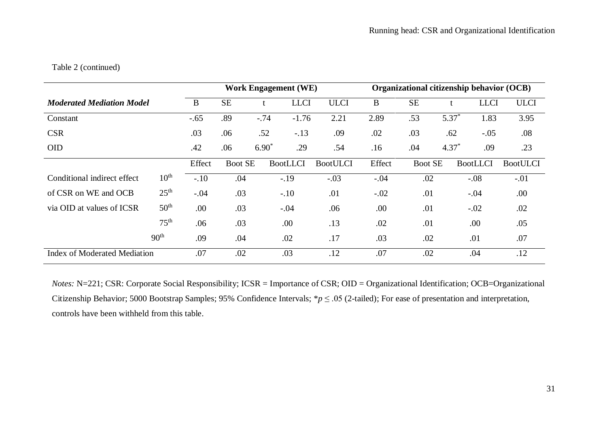# Table 2 (continued)

|                                     |                  |           |                |             | <b>Work Engagement (WE)</b> |                 | Organizational citizenship behavior (OCB) |                |             |                 |                 |  |
|-------------------------------------|------------------|-----------|----------------|-------------|-----------------------------|-----------------|-------------------------------------------|----------------|-------------|-----------------|-----------------|--|
| <b>Moderated Mediation Model</b>    | B                | <b>SE</b> |                | <b>LLCI</b> | <b>ULCI</b>                 | B               | <b>SE</b>                                 |                | <b>LLCI</b> | <b>ULCI</b>     |                 |  |
| Constant                            |                  | $-.65$    | .89            | $-.74$      | $-1.76$                     | 2.21            | 2.89                                      | .53            | $5.37*$     | 1.83            | 3.95            |  |
| <b>CSR</b>                          |                  | .03       | .06            | .52         | $-.13$                      | .09             | .02                                       | .03            | .62         | $-.05$          | .08             |  |
| <b>OID</b>                          |                  | .42       | .06            | $6.90^*$    | .29                         | .54             | .16                                       | .04            | $4.37*$     | .09             | .23             |  |
|                                     |                  | Effect    | <b>Boot SE</b> |             | <b>BootLLCI</b>             | <b>BootULCI</b> | Effect                                    | <b>Boot SE</b> |             | <b>BootLLCI</b> | <b>BootULCI</b> |  |
| Conditional indirect effect         | 10 <sup>th</sup> | $-.10$    | .04            |             | $-.19$                      | $-.03$          | $-.04$                                    | .02            |             | $-.08$          | $-.01$          |  |
| of CSR on WE and OCB                | 25 <sup>th</sup> | $-.04$    | .03            |             | $-.10$                      | .01             | $-.02$                                    | .01            |             | $-.04$          | .00.            |  |
| via OID at values of ICSR           | 50 <sup>th</sup> | .00       | .03            |             | $-.04$                      | .06             | .00                                       | .01            |             | $-.02$          | .02             |  |
|                                     | $75^{\text{th}}$ | .06       | .03            |             | .00                         | .13             | .02                                       | .01            |             | .00             | .05             |  |
|                                     | 90 <sup>th</sup> | .09       | .04            |             | .02                         | .17             | .03                                       | .02            |             | .01             | .07             |  |
| <b>Index of Moderated Mediation</b> | .07              | .02       |                | .03         | .12                         | .07             | .02                                       |                | .04         | .12             |                 |  |

*Notes:* N=221; CSR: Corporate Social Responsibility; ICSR = Importance of CSR; OID = Organizational Identification; OCB=Organizational Citizenship Behavior; 5000 Bootstrap Samples; 95% Confidence Intervals; \**p* ≤ .05 (2-tailed); For ease of presentation and interpretation, controls have been withheld from this table.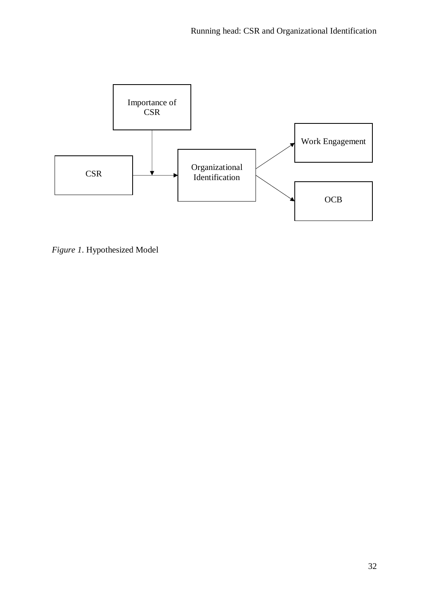

*Figure 1*. Hypothesized Model